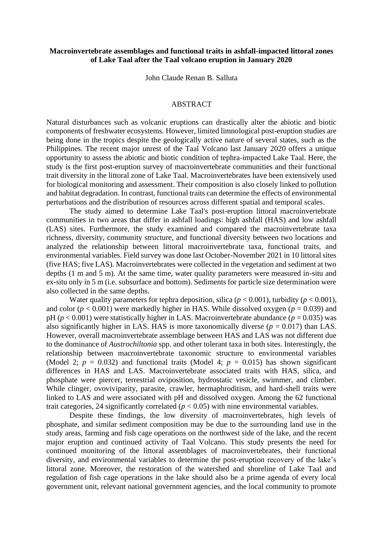## **Macroinvertebrate assemblages and functional traits in ashfall-impacted littoral zones of Lake Taal after the Taal volcano eruption in January 2020**

John Claude Renan B. Salluta

## ABSTRACT

Natural disturbances such as volcanic eruptions can drastically alter the abiotic and biotic components of freshwater ecosystems. However, limited limnological post-eruption studies are being done in the tropics despite the geologically active nature of several states, such as the Philippines. The recent major unrest of the Taal Volcano last January 2020 offers a unique opportunity to assess the abiotic and biotic condition of tephra-impacted Lake Taal. Here, the study is the first post-eruption survey of macroinvertebrate communities and their functional trait diversity in the littoral zone of Lake Taal. Macroinvertebrates have been extensively used for biological monitoring and assessment. Their composition is also closely linked to pollution and habitat degradation. In contrast, functional traits can determine the effects of environmental perturbations and the distribution of resources across different spatial and temporal scales.

The study aimed to determine Lake Taal's post-eruption littoral macroinvertebrate communities in two areas that differ in ashfall loadings: high ashfall (HAS) and low ashfall (LAS) sites. Furthermore, the study examined and compared the macroinvertebrate taxa richness, diversity, community structure, and functional diversity between two locations and analyzed the relationship between littoral macroinvertebrate taxa, functional traits, and environmental variables. Field survey was done last October-November 2021 in 10 littoral sites (five HAS; five LAS). Macroinvertebrates were collected in the vegetation and sediment at two depths (1 m and 5 m). At the same time, water quality parameters were measured in-situ and ex-situ only in 5 m (i.e. subsurface and bottom). Sediments for particle size determination were also collected in the same depths.

Water quality parameters for tephra deposition, silica ( $p < 0.001$ ), turbidity ( $p < 0.001$ ), and color ( $p < 0.001$ ) were markedly higher in HAS. While dissolved oxygen ( $p = 0.039$ ) and pH ( $p < 0.001$ ) were statistically higher in LAS. Macroinvertebrate abundance ( $p = 0.035$ ) was also significantly higher in LAS. HAS is more taxonomically diverse  $(p = 0.017)$  than LAS. However, overall macroinvertebrate assemblage between HAS and LAS was not different due to the dominance of *Austrochiltonia* spp. and other tolerant taxa in both sites. Interestingly, the relationship between macroinvertebrate taxonomic structure to environmental variables (Model 2;  $p = 0.032$ ) and functional traits (Model 4;  $p = 0.015$ ) has shown significant differences in HAS and LAS. Macroinvertebrate associated traits with HAS, silica, and phosphate were piercer, terrestrial oviposition, hydrostatic vesicle, swimmer, and climber. While clinger, ovoviviparity, parasite, crawler, hermaphroditism, and hard-shell traits were linked to LAS and were associated with pH and dissolved oxygen. Among the 62 functional trait categories, 24 significantly correlated  $(p < 0.05)$  with nine environmental variables.

Despite these findings, the low diversity of macroinvertebrates, high levels of phosphate, and similar sediment composition may be due to the surrounding land use in the study areas, farming and fish cage operations on the northwest side of the lake, and the recent major eruption and continued activity of Taal Volcano. This study presents the need for continued monitoring of the littoral assemblages of macroinvertebrates, their functional diversity, and environmental variables to determine the post-eruption recovery of the lake's littoral zone. Moreover, the restoration of the watershed and shoreline of Lake Taal and regulation of fish cage operations in the lake should also be a prime agenda of every local government unit, relevant national government agencies, and the local community to promote